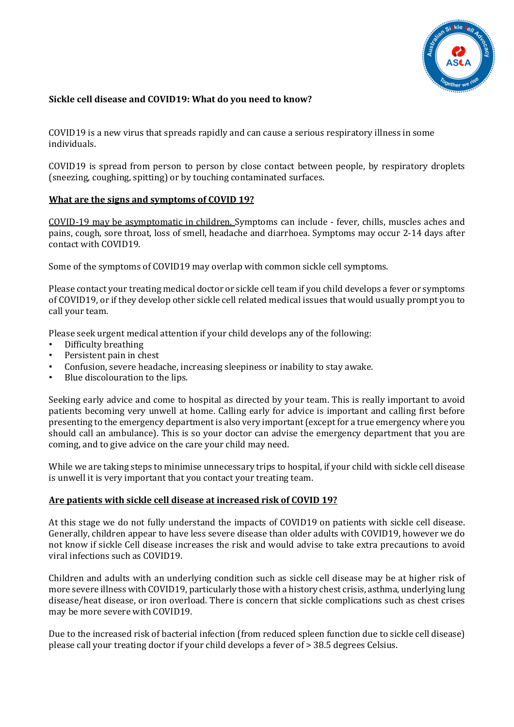

#### **Sickle cell disease and COVID19: What do you need to know?**

COVID19 is a new virus that spreads rapidly and can cause a serious respiratory illness in some individuals.

COVID19 is spread from person to person by close contact between people, by respiratory droplets (sneezing, coughing, spitting) or by touching contaminated surfaces.

#### **What are the signs and symptoms of COVID 19?**

COVID-19 may be asymptomatic in children. Symptoms can include - fever, chills, muscles aches and pains, cough, sore throat, loss of smell, headache and diarrhoea. Symptoms may occur 2-14 days after contact with COVID19.

Some of the symptoms of COVID19 may overlap with common sickle cell symptoms.

Please contact your treating medical doctor or sickle cell team if you child develops a fever or symptoms of COVID19, or if they develop other sickle cell related medical issues that would usually prompt you to call your team.

Please seek urgent medical attention if your child develops any of the following:

- Difficulty breathing
- Persistent pain in chest
- Confusion, severe headache, increasing sleepiness or inability to stay awake.
- Blue discolouration to the lips.

Seeking early advice and come to hospital as directed by your team. This is really important to avoid patients becoming very unwell at home. Calling early for advice is important and calling first before presenting to the emergency department is also very important(except for a true emergency where you should call an ambulance). This is so your doctor can advise the emergency department that you are coming, and to give advice on the care your child may need.

While we are taking steps to minimise unnecessary trips to hospital, if your child with sickle cell disease is unwell it is very important that you contact your treating team.

#### **Are patients with sickle cell disease at increased risk of COVID 19?**

At this stage we do not fully understand the impacts of COVID19 on patients with sickle cell disease. Generally, children appear to have less severe disease than older adults with COVID19, however we do not know if sickle Cell disease increases the risk and would advise to take extra precautions to avoid viral infections such as COVID19.

Children and adults with an underlying condition such as sickle cell disease may be at higher risk of more severe illness with COVID19, particularly those with a history chest crisis, asthma, underlying lung disease/heat disease, or iron overload. There is concern that sickle complications such as chest crises may be more severe with COVID19.

Due to the increased risk of bacterial infection (from reduced spleen function due to sickle cell disease) please call your treating doctor if your child develops a fever of > 38.5 degrees Celsius.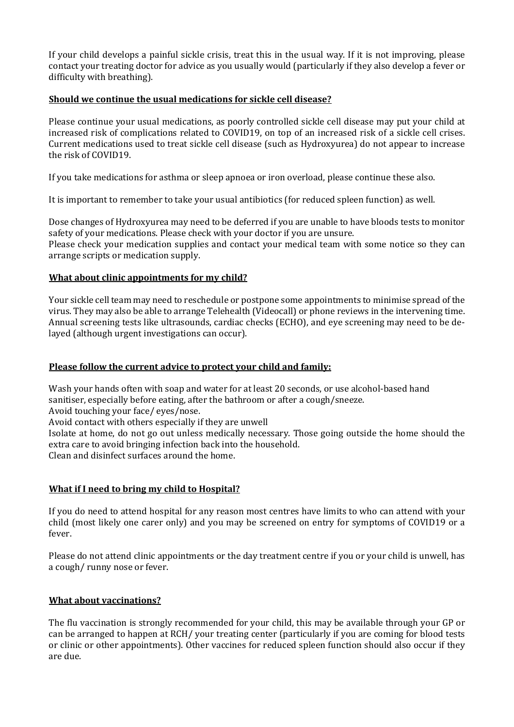If your child develops a painful sickle crisis, treat this in the usual way. If it is not improving, please contact your treating doctor for advice as you usually would (particularly if they also develop a fever or difficulty with breathing).

## **Should we continue the usual medications for sickle cell disease?**

Please continue your usual medications, as poorly controlled sickle cell disease may put your child at increased risk of complications related to COVID19, on top of an increased risk of a sickle cell crises. Current medications used to treat sickle cell disease (such as Hydroxyurea) do not appear to increase the risk of COVID19.

If you take medications for asthma or sleep apnoea or iron overload, please continue these also.

It is important to remember to take your usual antibiotics (for reduced spleen function) as well.

Dose changes of Hydroxyurea may need to be deferred if you are unable to have bloods tests to monitor safety of your medications. Please check with your doctor if you are unsure. Please check your medication supplies and contact your medical team with some notice so they can arrange scripts or medication supply.

# **What about clinic appointments for my child?**

Your sickle cell team may need to reschedule or postpone some appointments to minimise spread of the virus. They may also be able to arrange Telehealth (Videocall) or phone reviews in the intervening time. Annual screening tests like ultrasounds, cardiac checks (ECHO), and eye screening may need to be delayed (although urgent investigations can occur).

# **Please follow the current advice to protect your child and family:**

Wash your hands often with soap and water for at least 20 seconds, or use alcohol-based hand sanitiser, especially before eating, after the bathroom or after a cough/sneeze.

Avoid touching your face/ eyes/nose.

Avoid contact with others especially if they are unwell

Isolate at home, do not go out unless medically necessary. Those going outside the home should the extra care to avoid bringing infection back into the household.

Clean and disinfect surfaces around the home.

# **What if I need to bring my child to Hospital?**

If you do need to attend hospital for any reason most centres have limits to who can attend with your child (most likely one carer only) and you may be screened on entry for symptoms of COVID19 or a fever.

Please do not attend clinic appointments or the day treatment centre if you or your child is unwell, has a cough/ runny nose or fever.

## **What about vaccinations?**

The flu vaccination is strongly recommended for your child, this may be available through your GP or can be arranged to happen at RCH/ your treating center (particularly if you are coming for blood tests or clinic or other appointments). Other vaccines for reduced spleen function should also occur if they are due.